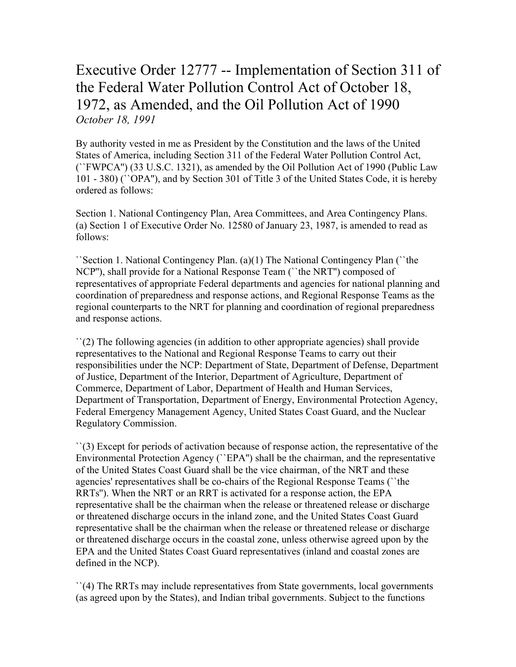## Executive Order 12777 -- Implementation of Section 311 of the Federal Water Pollution Control Act of October 18, 1972, as Amended, and the Oil Pollution Act of 1990 *October 18, 1991*

By authority vested in me as President by the Constitution and the laws of the United States of America, including Section 311 of the Federal Water Pollution Control Act, (``FWPCA'') (33 U.S.C. 1321), as amended by the Oil Pollution Act of 1990 (Public Law 101 - 380) (``OPA''), and by Section 301 of Title 3 of the United States Code, it is hereby ordered as follows:

Section 1. National Contingency Plan, Area Committees, and Area Contingency Plans. (a) Section 1 of Executive Order No. 12580 of January 23, 1987, is amended to read as follows:

``Section 1. National Contingency Plan. (a)(1) The National Contingency Plan (``the NCP''), shall provide for a National Response Team (``the NRT'') composed of representatives of appropriate Federal departments and agencies for national planning and coordination of preparedness and response actions, and Regional Response Teams as the regional counterparts to the NRT for planning and coordination of regional preparedness and response actions.

``(2) The following agencies (in addition to other appropriate agencies) shall provide representatives to the National and Regional Response Teams to carry out their responsibilities under the NCP: Department of State, Department of Defense, Department of Justice, Department of the Interior, Department of Agriculture, Department of Commerce, Department of Labor, Department of Health and Human Services, Department of Transportation, Department of Energy, Environmental Protection Agency, Federal Emergency Management Agency, United States Coast Guard, and the Nuclear Regulatory Commission.

``(3) Except for periods of activation because of response action, the representative of the Environmental Protection Agency (``EPA'') shall be the chairman, and the representative of the United States Coast Guard shall be the vice chairman, of the NRT and these agencies' representatives shall be co-chairs of the Regional Response Teams (``the RRTs''). When the NRT or an RRT is activated for a response action, the EPA representative shall be the chairman when the release or threatened release or discharge or threatened discharge occurs in the inland zone, and the United States Coast Guard representative shall be the chairman when the release or threatened release or discharge or threatened discharge occurs in the coastal zone, unless otherwise agreed upon by the EPA and the United States Coast Guard representatives (inland and coastal zones are defined in the NCP).

``(4) The RRTs may include representatives from State governments, local governments (as agreed upon by the States), and Indian tribal governments. Subject to the functions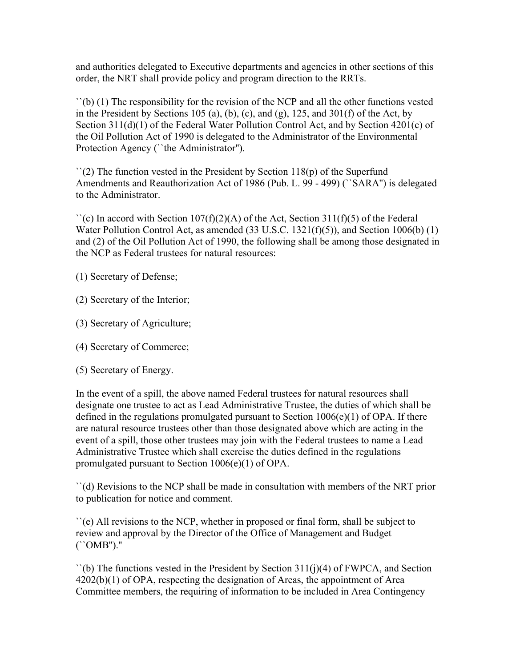and authorities delegated to Executive departments and agencies in other sections of this order, the NRT shall provide policy and program direction to the RRTs.

``(b) (1) The responsibility for the revision of the NCP and all the other functions vested in the President by Sections 105 (a), (b), (c), and (g), 125, and  $301(f)$  of the Act, by Section 311(d)(1) of the Federal Water Pollution Control Act, and by Section 4201(c) of the Oil Pollution Act of 1990 is delegated to the Administrator of the Environmental Protection Agency ("the Administrator").

 $\Gamma(2)$  The function vested in the President by Section 118(p) of the Superfund Amendments and Reauthorization Act of 1986 (Pub. L. 99 - 499) (``SARA'') is delegated to the Administrator.

 $\Gamma$ (c) In accord with Section 107(f)(2)(A) of the Act, Section 311(f)(5) of the Federal Water Pollution Control Act, as amended (33 U.S.C. 1321(f)(5)), and Section 1006(b) (1) and (2) of the Oil Pollution Act of 1990, the following shall be among those designated in the NCP as Federal trustees for natural resources:

(1) Secretary of Defense;

- (2) Secretary of the Interior;
- (3) Secretary of Agriculture;
- (4) Secretary of Commerce;
- (5) Secretary of Energy.

In the event of a spill, the above named Federal trustees for natural resources shall designate one trustee to act as Lead Administrative Trustee, the duties of which shall be defined in the regulations promulgated pursuant to Section 1006(e)(1) of OPA. If there are natural resource trustees other than those designated above which are acting in the event of a spill, those other trustees may join with the Federal trustees to name a Lead Administrative Trustee which shall exercise the duties defined in the regulations promulgated pursuant to Section 1006(e)(1) of OPA.

``(d) Revisions to the NCP shall be made in consultation with members of the NRT prior to publication for notice and comment.

``(e) All revisions to the NCP, whether in proposed or final form, shall be subject to review and approval by the Director of the Office of Management and Budget (``OMB'').''

 $\dot{\mathcal{L}}$  (b) The functions vested in the President by Section 311(j)(4) of FWPCA, and Section 4202(b)(1) of OPA, respecting the designation of Areas, the appointment of Area Committee members, the requiring of information to be included in Area Contingency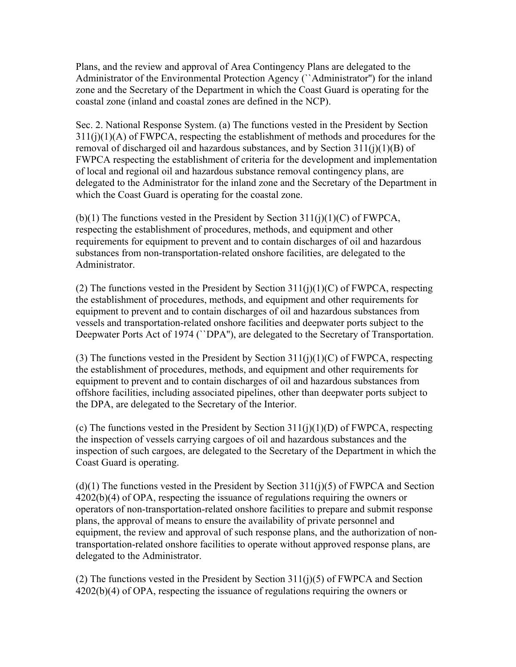Plans, and the review and approval of Area Contingency Plans are delegated to the Administrator of the Environmental Protection Agency (``Administrator'') for the inland zone and the Secretary of the Department in which the Coast Guard is operating for the coastal zone (inland and coastal zones are defined in the NCP).

Sec. 2. National Response System. (a) The functions vested in the President by Section  $311(i)(1)(A)$  of FWPCA, respecting the establishment of methods and procedures for the removal of discharged oil and hazardous substances, and by Section 311(j)(1)(B) of FWPCA respecting the establishment of criteria for the development and implementation of local and regional oil and hazardous substance removal contingency plans, are delegated to the Administrator for the inland zone and the Secretary of the Department in which the Coast Guard is operating for the coastal zone.

(b)(1) The functions vested in the President by Section  $311(i)(1)(C)$  of FWPCA, respecting the establishment of procedures, methods, and equipment and other requirements for equipment to prevent and to contain discharges of oil and hazardous substances from non-transportation-related onshore facilities, are delegated to the Administrator.

(2) The functions vested in the President by Section  $311(i)(1)(C)$  of FWPCA, respecting the establishment of procedures, methods, and equipment and other requirements for equipment to prevent and to contain discharges of oil and hazardous substances from vessels and transportation-related onshore facilities and deepwater ports subject to the Deepwater Ports Act of 1974 ("DPA"), are delegated to the Secretary of Transportation.

(3) The functions vested in the President by Section  $311(i)(1)(C)$  of FWPCA, respecting the establishment of procedures, methods, and equipment and other requirements for equipment to prevent and to contain discharges of oil and hazardous substances from offshore facilities, including associated pipelines, other than deepwater ports subject to the DPA, are delegated to the Secretary of the Interior.

(c) The functions vested in the President by Section  $311(i)(1)(D)$  of FWPCA, respecting the inspection of vessels carrying cargoes of oil and hazardous substances and the inspection of such cargoes, are delegated to the Secretary of the Department in which the Coast Guard is operating.

 $(d)(1)$  The functions vested in the President by Section 311(j)(5) of FWPCA and Section 4202(b)(4) of OPA, respecting the issuance of regulations requiring the owners or operators of non-transportation-related onshore facilities to prepare and submit response plans, the approval of means to ensure the availability of private personnel and equipment, the review and approval of such response plans, and the authorization of nontransportation-related onshore facilities to operate without approved response plans, are delegated to the Administrator.

(2) The functions vested in the President by Section  $311(j)(5)$  of FWPCA and Section 4202(b)(4) of OPA, respecting the issuance of regulations requiring the owners or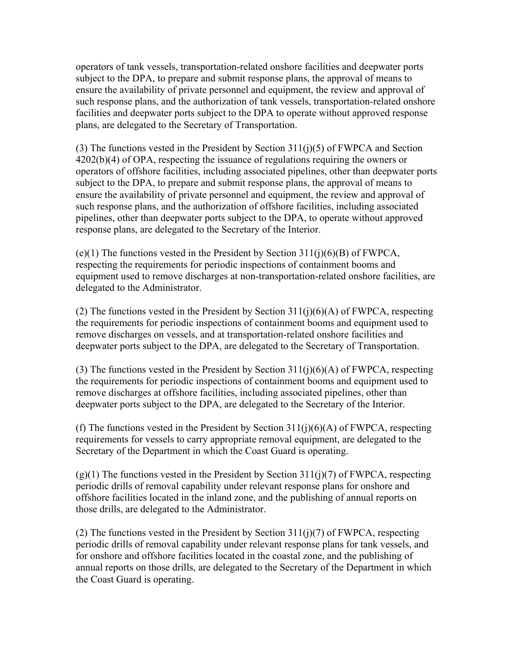operators of tank vessels, transportation-related onshore facilities and deepwater ports subject to the DPA, to prepare and submit response plans, the approval of means to ensure the availability of private personnel and equipment, the review and approval of such response plans, and the authorization of tank vessels, transportation-related onshore facilities and deepwater ports subject to the DPA to operate without approved response plans, are delegated to the Secretary of Transportation.

(3) The functions vested in the President by Section 311(j)(5) of FWPCA and Section 4202(b)(4) of OPA, respecting the issuance of regulations requiring the owners or operators of offshore facilities, including associated pipelines, other than deepwater ports subject to the DPA, to prepare and submit response plans, the approval of means to ensure the availability of private personnel and equipment, the review and approval of such response plans, and the authorization of offshore facilities, including associated pipelines, other than deepwater ports subject to the DPA, to operate without approved response plans, are delegated to the Secretary of the Interior.

(e)(1) The functions vested in the President by Section  $311(i)(6)(B)$  of FWPCA, respecting the requirements for periodic inspections of containment booms and equipment used to remove discharges at non-transportation-related onshore facilities, are delegated to the Administrator.

(2) The functions vested in the President by Section  $311(i)(6)(A)$  of FWPCA, respecting the requirements for periodic inspections of containment booms and equipment used to remove discharges on vessels, and at transportation-related onshore facilities and deepwater ports subject to the DPA, are delegated to the Secretary of Transportation.

(3) The functions vested in the President by Section  $311(j)(6)(A)$  of FWPCA, respecting the requirements for periodic inspections of containment booms and equipment used to remove discharges at offshore facilities, including associated pipelines, other than deepwater ports subject to the DPA, are delegated to the Secretary of the Interior.

(f) The functions vested in the President by Section  $311(i)(6)(A)$  of FWPCA, respecting requirements for vessels to carry appropriate removal equipment, are delegated to the Secretary of the Department in which the Coast Guard is operating.

 $(g)(1)$  The functions vested in the President by Section 311(j)(7) of FWPCA, respecting periodic drills of removal capability under relevant response plans for onshore and offshore facilities located in the inland zone, and the publishing of annual reports on those drills, are delegated to the Administrator.

(2) The functions vested in the President by Section  $311(i)(7)$  of FWPCA, respecting periodic drills of removal capability under relevant response plans for tank vessels, and for onshore and offshore facilities located in the coastal zone, and the publishing of annual reports on those drills, are delegated to the Secretary of the Department in which the Coast Guard is operating.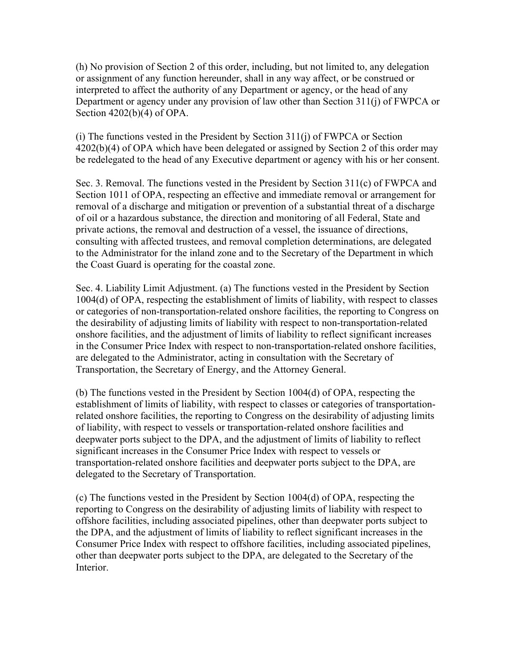(h) No provision of Section 2 of this order, including, but not limited to, any delegation or assignment of any function hereunder, shall in any way affect, or be construed or interpreted to affect the authority of any Department or agency, or the head of any Department or agency under any provision of law other than Section 311(j) of FWPCA or Section 4202(b)(4) of OPA.

(i) The functions vested in the President by Section 311(j) of FWPCA or Section 4202(b)(4) of OPA which have been delegated or assigned by Section 2 of this order may be redelegated to the head of any Executive department or agency with his or her consent.

Sec. 3. Removal. The functions vested in the President by Section 311(c) of FWPCA and Section 1011 of OPA, respecting an effective and immediate removal or arrangement for removal of a discharge and mitigation or prevention of a substantial threat of a discharge of oil or a hazardous substance, the direction and monitoring of all Federal, State and private actions, the removal and destruction of a vessel, the issuance of directions, consulting with affected trustees, and removal completion determinations, are delegated to the Administrator for the inland zone and to the Secretary of the Department in which the Coast Guard is operating for the coastal zone.

Sec. 4. Liability Limit Adjustment. (a) The functions vested in the President by Section 1004(d) of OPA, respecting the establishment of limits of liability, with respect to classes or categories of non-transportation-related onshore facilities, the reporting to Congress on the desirability of adjusting limits of liability with respect to non-transportation-related onshore facilities, and the adjustment of limits of liability to reflect significant increases in the Consumer Price Index with respect to non-transportation-related onshore facilities, are delegated to the Administrator, acting in consultation with the Secretary of Transportation, the Secretary of Energy, and the Attorney General.

(b) The functions vested in the President by Section 1004(d) of OPA, respecting the establishment of limits of liability, with respect to classes or categories of transportationrelated onshore facilities, the reporting to Congress on the desirability of adjusting limits of liability, with respect to vessels or transportation-related onshore facilities and deepwater ports subject to the DPA, and the adjustment of limits of liability to reflect significant increases in the Consumer Price Index with respect to vessels or transportation-related onshore facilities and deepwater ports subject to the DPA, are delegated to the Secretary of Transportation.

(c) The functions vested in the President by Section 1004(d) of OPA, respecting the reporting to Congress on the desirability of adjusting limits of liability with respect to offshore facilities, including associated pipelines, other than deepwater ports subject to the DPA, and the adjustment of limits of liability to reflect significant increases in the Consumer Price Index with respect to offshore facilities, including associated pipelines, other than deepwater ports subject to the DPA, are delegated to the Secretary of the **Interior**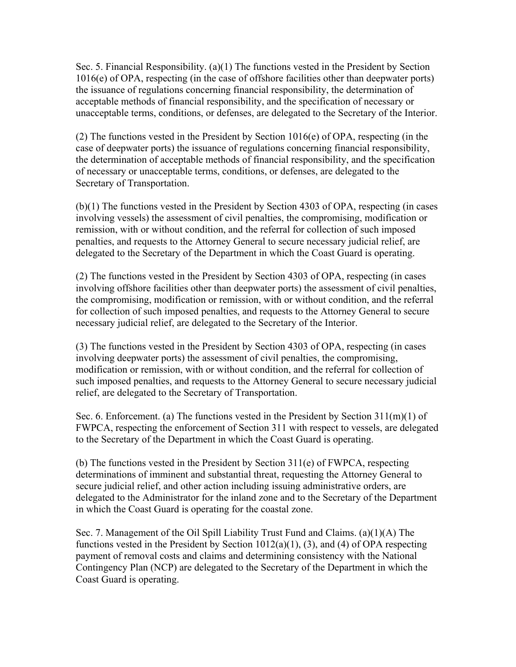Sec. 5. Financial Responsibility. (a)(1) The functions vested in the President by Section 1016(e) of OPA, respecting (in the case of offshore facilities other than deepwater ports) the issuance of regulations concerning financial responsibility, the determination of acceptable methods of financial responsibility, and the specification of necessary or unacceptable terms, conditions, or defenses, are delegated to the Secretary of the Interior.

(2) The functions vested in the President by Section 1016(e) of OPA, respecting (in the case of deepwater ports) the issuance of regulations concerning financial responsibility, the determination of acceptable methods of financial responsibility, and the specification of necessary or unacceptable terms, conditions, or defenses, are delegated to the Secretary of Transportation.

(b)(1) The functions vested in the President by Section 4303 of OPA, respecting (in cases involving vessels) the assessment of civil penalties, the compromising, modification or remission, with or without condition, and the referral for collection of such imposed penalties, and requests to the Attorney General to secure necessary judicial relief, are delegated to the Secretary of the Department in which the Coast Guard is operating.

(2) The functions vested in the President by Section 4303 of OPA, respecting (in cases involving offshore facilities other than deepwater ports) the assessment of civil penalties, the compromising, modification or remission, with or without condition, and the referral for collection of such imposed penalties, and requests to the Attorney General to secure necessary judicial relief, are delegated to the Secretary of the Interior.

(3) The functions vested in the President by Section 4303 of OPA, respecting (in cases involving deepwater ports) the assessment of civil penalties, the compromising, modification or remission, with or without condition, and the referral for collection of such imposed penalties, and requests to the Attorney General to secure necessary judicial relief, are delegated to the Secretary of Transportation.

Sec. 6. Enforcement. (a) The functions vested in the President by Section  $311(m)(1)$  of FWPCA, respecting the enforcement of Section 311 with respect to vessels, are delegated to the Secretary of the Department in which the Coast Guard is operating.

(b) The functions vested in the President by Section 311(e) of FWPCA, respecting determinations of imminent and substantial threat, requesting the Attorney General to secure judicial relief, and other action including issuing administrative orders, are delegated to the Administrator for the inland zone and to the Secretary of the Department in which the Coast Guard is operating for the coastal zone.

Sec. 7. Management of the Oil Spill Liability Trust Fund and Claims. (a)(1)(A) The functions vested in the President by Section 1012(a)(1), (3), and (4) of OPA respecting payment of removal costs and claims and determining consistency with the National Contingency Plan (NCP) are delegated to the Secretary of the Department in which the Coast Guard is operating.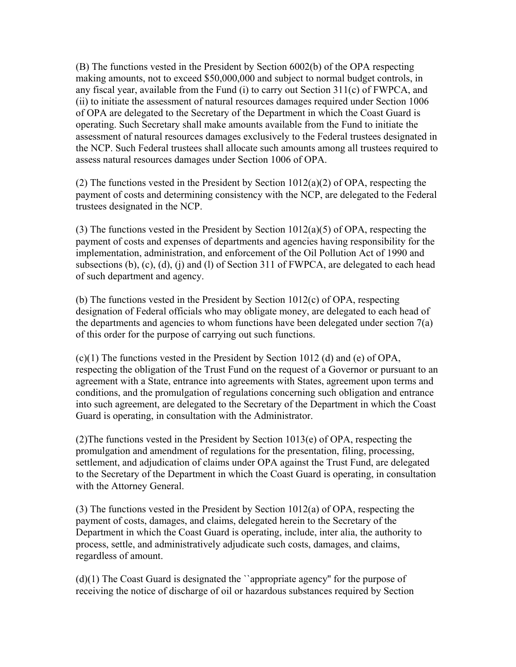(B) The functions vested in the President by Section 6002(b) of the OPA respecting making amounts, not to exceed \$50,000,000 and subject to normal budget controls, in any fiscal year, available from the Fund (i) to carry out Section 311(c) of FWPCA, and (ii) to initiate the assessment of natural resources damages required under Section 1006 of OPA are delegated to the Secretary of the Department in which the Coast Guard is operating. Such Secretary shall make amounts available from the Fund to initiate the assessment of natural resources damages exclusively to the Federal trustees designated in the NCP. Such Federal trustees shall allocate such amounts among all trustees required to assess natural resources damages under Section 1006 of OPA.

(2) The functions vested in the President by Section  $1012(a)(2)$  of OPA, respecting the payment of costs and determining consistency with the NCP, are delegated to the Federal trustees designated in the NCP.

(3) The functions vested in the President by Section  $1012(a)(5)$  of OPA, respecting the payment of costs and expenses of departments and agencies having responsibility for the implementation, administration, and enforcement of the Oil Pollution Act of 1990 and subsections (b), (c), (d), (j) and (l) of Section 311 of FWPCA, are delegated to each head of such department and agency.

(b) The functions vested in the President by Section 1012(c) of OPA, respecting designation of Federal officials who may obligate money, are delegated to each head of the departments and agencies to whom functions have been delegated under section 7(a) of this order for the purpose of carrying out such functions.

 $(c)(1)$  The functions vested in the President by Section 1012 (d) and (e) of OPA, respecting the obligation of the Trust Fund on the request of a Governor or pursuant to an agreement with a State, entrance into agreements with States, agreement upon terms and conditions, and the promulgation of regulations concerning such obligation and entrance into such agreement, are delegated to the Secretary of the Department in which the Coast Guard is operating, in consultation with the Administrator.

(2)The functions vested in the President by Section 1013(e) of OPA, respecting the promulgation and amendment of regulations for the presentation, filing, processing, settlement, and adjudication of claims under OPA against the Trust Fund, are delegated to the Secretary of the Department in which the Coast Guard is operating, in consultation with the Attorney General.

(3) The functions vested in the President by Section 1012(a) of OPA, respecting the payment of costs, damages, and claims, delegated herein to the Secretary of the Department in which the Coast Guard is operating, include, inter alia, the authority to process, settle, and administratively adjudicate such costs, damages, and claims, regardless of amount.

(d)(1) The Coast Guard is designated the ``appropriate agency'' for the purpose of receiving the notice of discharge of oil or hazardous substances required by Section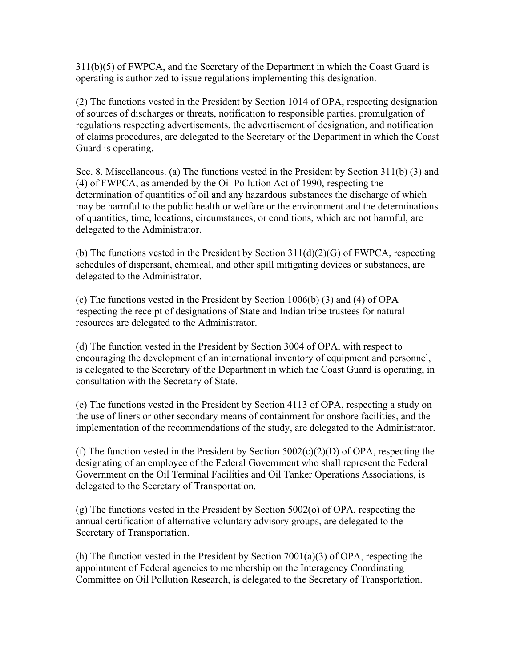311(b)(5) of FWPCA, and the Secretary of the Department in which the Coast Guard is operating is authorized to issue regulations implementing this designation.

(2) The functions vested in the President by Section 1014 of OPA, respecting designation of sources of discharges or threats, notification to responsible parties, promulgation of regulations respecting advertisements, the advertisement of designation, and notification of claims procedures, are delegated to the Secretary of the Department in which the Coast Guard is operating.

Sec. 8. Miscellaneous. (a) The functions vested in the President by Section 311(b) (3) and (4) of FWPCA, as amended by the Oil Pollution Act of 1990, respecting the determination of quantities of oil and any hazardous substances the discharge of which may be harmful to the public health or welfare or the environment and the determinations of quantities, time, locations, circumstances, or conditions, which are not harmful, are delegated to the Administrator.

(b) The functions vested in the President by Section  $311(d)(2)(G)$  of FWPCA, respecting schedules of dispersant, chemical, and other spill mitigating devices or substances, are delegated to the Administrator.

(c) The functions vested in the President by Section 1006(b) (3) and (4) of OPA respecting the receipt of designations of State and Indian tribe trustees for natural resources are delegated to the Administrator.

(d) The function vested in the President by Section 3004 of OPA, with respect to encouraging the development of an international inventory of equipment and personnel, is delegated to the Secretary of the Department in which the Coast Guard is operating, in consultation with the Secretary of State.

(e) The functions vested in the President by Section 4113 of OPA, respecting a study on the use of liners or other secondary means of containment for onshore facilities, and the implementation of the recommendations of the study, are delegated to the Administrator.

(f) The function vested in the President by Section  $5002(c)(2)(D)$  of OPA, respecting the designating of an employee of the Federal Government who shall represent the Federal Government on the Oil Terminal Facilities and Oil Tanker Operations Associations, is delegated to the Secretary of Transportation.

(g) The functions vested in the President by Section 5002(o) of OPA, respecting the annual certification of alternative voluntary advisory groups, are delegated to the Secretary of Transportation.

(h) The function vested in the President by Section 7001(a)(3) of OPA, respecting the appointment of Federal agencies to membership on the Interagency Coordinating Committee on Oil Pollution Research, is delegated to the Secretary of Transportation.